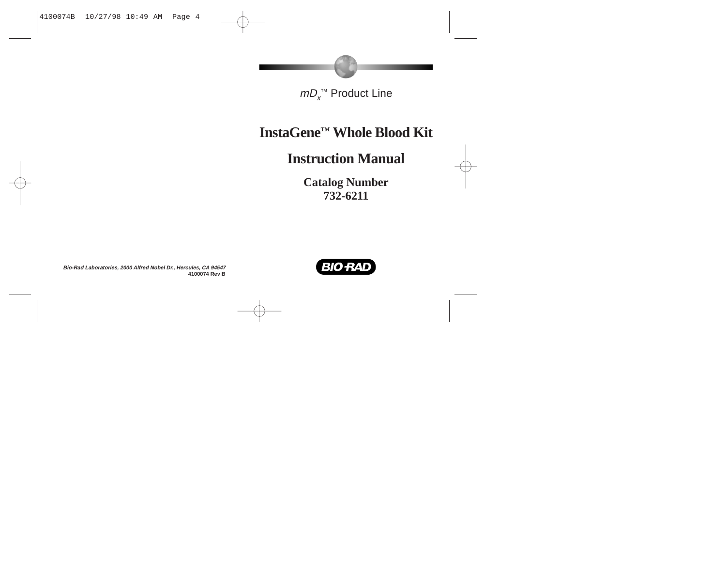# *mD*<sub>x</sub>™ Product Line

# **InstaGene ™ Whole Blood Kit**

# **Instruction Manual**

**Catalog Number 732-6211**

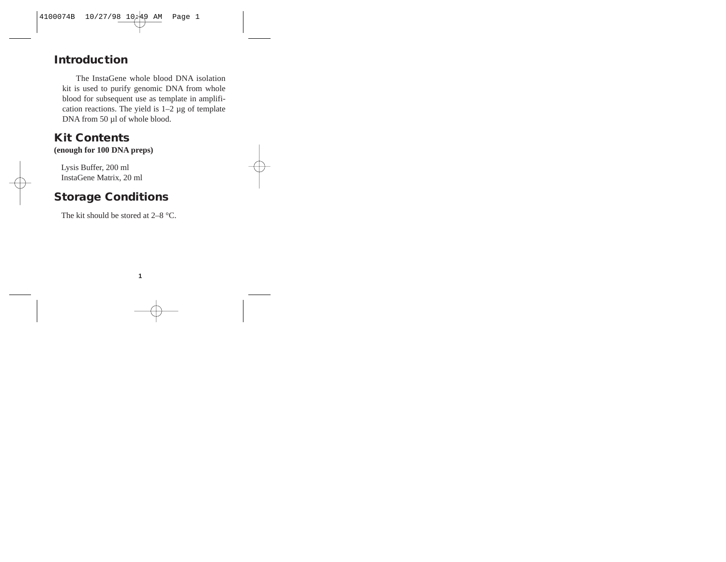## **Introduction**

The InstaGene whole blood DNA isolation kit is used to purify genomic DNA from whole blood for subsequent use as template in amplification reactions. The yield is  $1-2 \mu$ g of template DNA from 50 µl of whole blood.

#### **Kit Contents**

**(enough for 100 DNA preps)**

Lysis Buffer, 200 ml InstaGene Matrix, 20 ml

### **Storage Conditions**

The kit should be stored at  $2-8$  °C.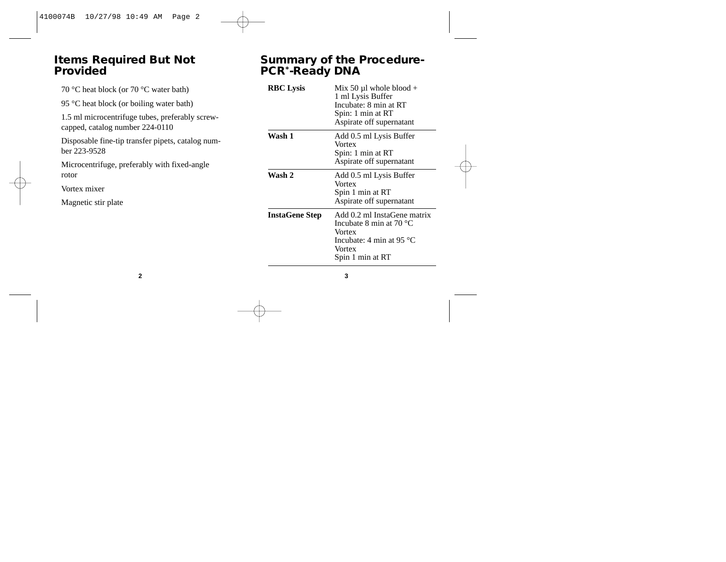#### **Items Required But Not Provided**

70 °C heat block (or 70 °C water bath)

95 °C heat block (or boiling water bath)

1.5 ml microcentrifuge tubes, preferably screwcapped, catalog number 224-0110

Disposable fine-tip transfer pipets, catalog number 223-9528

Microcentrifuge, preferably with fixed-angle rotor

Vortex mixer

Magnetic stir plate

#### **Summary of the Procedure-PCR\*-Ready DNA**

| <b>RBC</b> Lysis      | Mix 50 $\mu$ l whole blood +<br>1 ml Lysis Buffer<br>Incubate: 8 min at RT<br>Spin: 1 min at RT<br>Aspirate off supernatant            |
|-----------------------|----------------------------------------------------------------------------------------------------------------------------------------|
| Wash 1                | Add 0.5 ml Lysis Buffer<br>Vortex<br>Spin: 1 min at RT<br>Aspirate off supernatant                                                     |
| Wash 2                | Add 0.5 ml Lysis Buffer<br>Vortex<br>Spin 1 min at RT<br>Aspirate off supernatant                                                      |
| <b>InstaGene Step</b> | Add 0.2 ml InstaGene matrix<br>Incubate 8 min at $70 °C$<br>Vortex<br>Incubate: 4 min at 95 $^{\circ}$ C<br>Vortex<br>Spin 1 min at RT |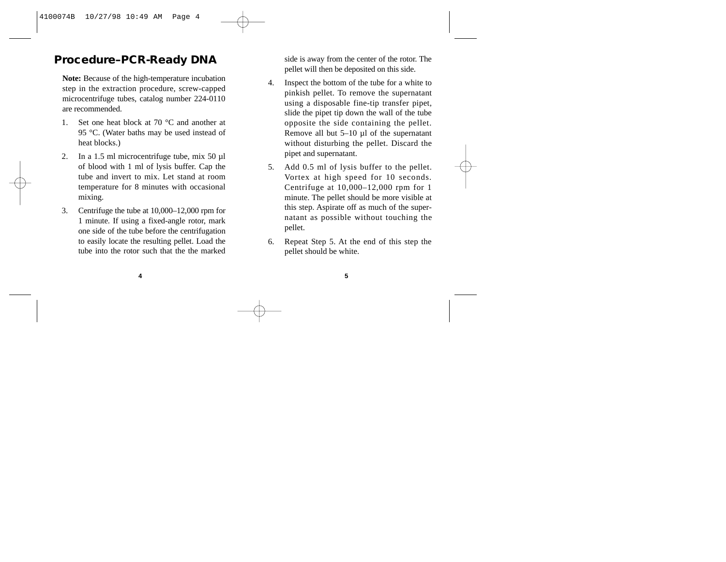## **Procedure–PCR-Ready DNA**

**Note:** Because of the high-temperature incubation step in the extraction procedure, screw-capped microcentrifuge tubes, catalog number 224-0110 are recommended.

- 1. Set one heat block at 70 °C and another at 95 °C. (Water baths may be used instead of heat blocks.)
- 2. In a 1.5 ml microcentrifuge tube, mix 50 µl of blood with 1 ml of lysis buffer. Cap the tube and invert to mix. Let stand at room temperature for 8 minutes with occasional mixing.
- 3. Centrifuge the tube at 10,000–12,000 rpm for 1 minute. If using a fixed-angle rotor, mark one side of the tube before the centrifugation to easily locate the resulting pellet. Load the tube into the rotor such that the the marked

side is away from the center of the rotor. The pellet will then be deposited on this side.

- 4. Inspect the bottom of the tube for a white to pinkish pellet. To remove the supernatant using a disposable fine-tip transfer pipet, slide the pipet tip down the wall of the tube opposite the side containing the pellet. Remove all but 5–10 µl of the supernatant without disturbing the pellet. Discard the pipet and supernatant.
- 5. Add 0.5 ml of lysis buffer to the pellet. Vortex at high speed for 10 seconds. Centrifuge at 10,000–12,000 rpm for 1 minute. The pellet should be more visible at this step. Aspirate off as much of the supernatant as possible without touching the pellet.
- 6. Repeat Step 5. At the end of this step the pellet should be white.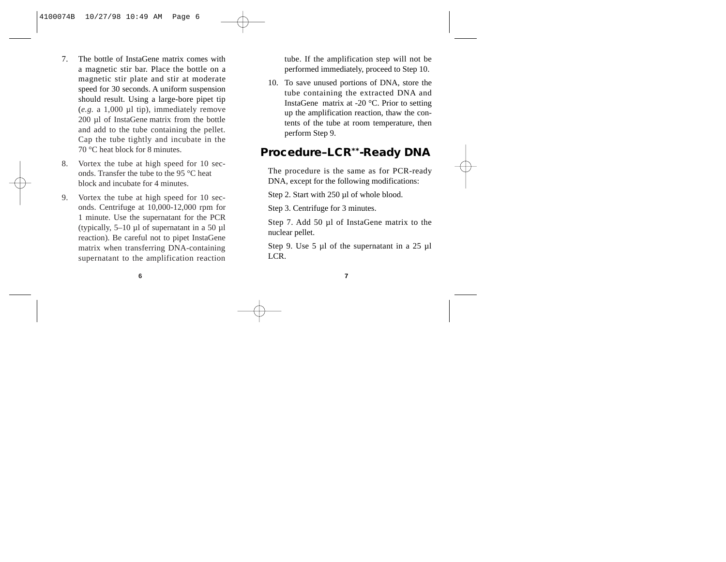- 7. The bottle of InstaGene matrix comes with a magnetic stir bar. Place the bottle on a magnetic stir plate and stir at moderate speed for 30 seconds. A uniform suspension should result. Using a large-bore pipet tip (*e.g.* a 1,000 µl tip), immediately remove 200 µl of InstaGene matrix from the bottle and add to the tube containing the pellet. Cap the tube tightly and incubate in the 70 °C heat block for 8 minutes.
- 8. Vortex the tube at high speed for 10 seconds. Transfer the tube to the 95 °C heat block and incubate for 4 minutes.
- 9. Vortex the tube at high speed for 10 seconds. Centrifuge at 10,000-12,000 rpm for 1 minute. Use the supernatant for the PCR (typically, 5–10 µl of supernatant in a 50 µl reaction). Be careful not to pipet InstaGene matrix when transferring DNA-containing supernatant to the amplification reaction

tube. If the amplification step will not be performed immediately, proceed to Step 10.

10. To save unused portions of DNA, store the tube containing the extracted DNA and InstaGene matrix at -20 °C. Prior to setting up the amplification reaction, thaw the contents of the tube at room temperature, then perform Step 9.

### **Procedure–LCR\*\*-Ready DNA**

The procedure is the same as for PCR-ready DNA, except for the following modifications:

Step 2. Start with 250 µl of whole blood.

Step 3. Centrifuge for 3 minutes.

Step 7. Add 50 µl of InstaGene matrix to the nuclear pellet.

Step 9. Use 5 µl of the supernatant in a 25 µl LCR.